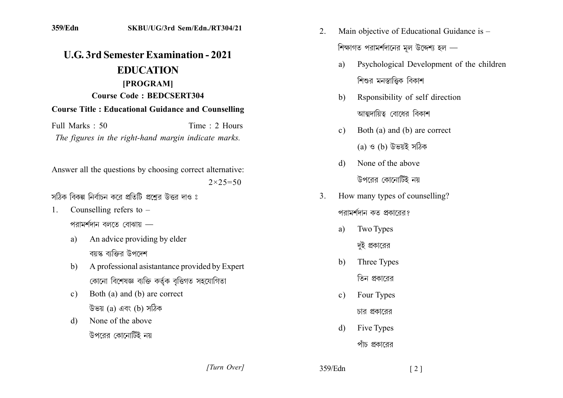## **IIG 3rd Semester Examination - 2021 EDUCATION** [PROGRAM] **Course Code: BEDCSERT304 Course Title: Educational Guidance and Counselling**

Full Marks  $\cdot$  50 Time  $\cdot$  2 Hours The figures in the right-hand margin indicate marks.

Answer all the questions by choosing correct alternative:  $2 \times 25 = 50$ 

সঠিক বিকল্প নিৰ্বাচন কৰে প্ৰতিটি প্ৰশেব উত্তৰ দাও ঃ

- Counselling refers to  $1_{\cdot}$ পরামর্শদান বলতে বোঝায় ––
	- An advice providing by elder a) বয়স্ক বাক্তির উপদেশ
	- A professional asistantance provided by Expert  $h$ ) কোনো বিশেষজ্ঞ ব্যক্তি কৰ্তুক বত্তিগত সহযোগিতা
	- Both (a) and (b) are correct  $c)$ উভয় (a) এবং (b) সঠিক
	- None of the above  $\mathbf{d}$ উপরের কোনোটিই নয়
- Main objective of Educational Guidance is -2. শিক্ষাগত পরামর্শদানের মূল উদ্দেশ্য হল —
	- Psychological Development of the children  $a)$ শিশুর মনস্তাত্তিক বিকাশ
	- Rsponsibility of self direction  $h$ আত্মদায়িত্ব বোধের বিকাশ
	- Both (a) and (b) are correct  $c)$  $(a)$  ও  $(b)$  উভয়ই সঠিক
	- None of the above  $\mathbf{d}$ উপরের কোনোটিই নয়
- How many types of counselling?  $\mathcal{E}$ পরামর্শদান কত প্রকারের?
	- **Two Types** a) দই প্রকারের
	- Three Types b) তিন প্রকারের
	- Four Types  $\mathbf{c}$ ) চার প্রকারের
	- Five Types  $\mathbf{d}$ পাঁচ প্রকারের

[Turn Over]

359/Edn

 $\lceil 2 \rceil$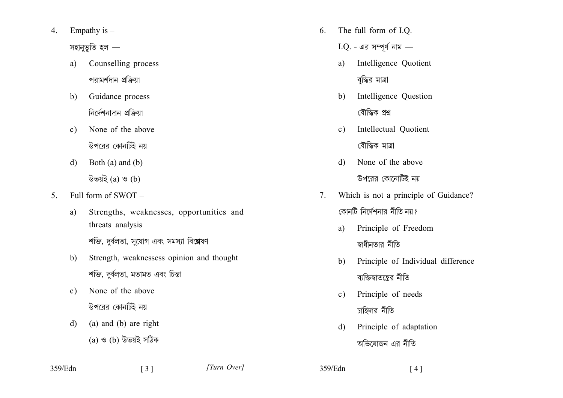- Empathy is  $-$ 4. সহানুভূতি হল  $$ 
	- a) Counselling process পরামর্শদান প্রক্রিয়া
	- Guidance process  $b)$ নিৰ্দেশনাদান প্ৰক্ৰিয়া
	- None of the above  $c)$ উপরের কোনটিই নয়
	- Both  $(a)$  and  $(b)$  $d)$ উভয়ই  $(a)$  ও  $(b)$
- $5<sub>1</sub>$ Full form of SWOT -
	- Strengths, weaknesses, opportunities and a) threats analysis

শক্তি, দুর্বলতা, সুযোগ এবং সমস্যা বিশ্লেষণ

 $\begin{bmatrix} 3 \end{bmatrix}$ 

- Strength, weaknessess opinion and thought  $b)$ শক্তি, দূর্বলতা, মতামত এবং চিন্তা
- None of the above  $c)$ উপরের কোনটিই নয়
- (a) and (b) are right  $\mathbf{d}$ (a) ও (b) উভয়ই সঠিক
- The full form of I.O.  $6<sub>1</sub>$ 
	- $I.Q.$  এর সম্পূর্ণ নাম —
	- $a)$ Intelligence Quotient বদ্ধির মাত্রা
	- Intelligence Question  $b)$ বৌদ্ধিক প্ৰশ্ন
	- Intellectual Ouotient  $c)$ বৌদ্ধিক মাত্ৰা
	- None of the above  $\mathbf{d}$ উপরের কোনোটিই নয়
- Which is not a principle of Guidance?  $7_{\scriptscriptstyle{\ddots}}$ কোনটি নির্দেশনার নীতি নয়?
	- Principle of Freedom a) স্বাধীনতার নীতি
	- Principle of Individual difference  $b)$ ব্যক্তিস্বাতন্ত্রের নীতি

 $[4]$ 

- Principle of needs  $c)$ চাহিদার নীতি
- $\mathbf{d}$ Principle of adaptation অভিযোজন এর নীতি

[Turn Over]

359/Edn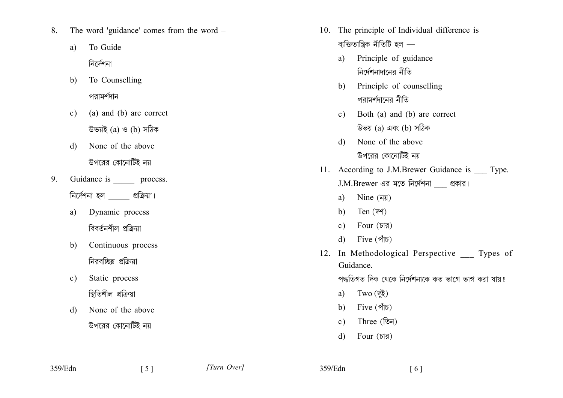- 8. The word 'guidance' comes from the word  $-$ 
	- To Guide a) নিৰ্দেশনা
	- To Counselling  $b)$ পরামর্শদান
	- $c)$ (a) and (b) are correct উভয়ই  $(a)$  ও  $(b)$  সঠিক
	- $d)$ None of the above উপরের কোনোটিই নয়
- Guidance is \_ process.  $9<sub>1</sub>$ निর্দেশনা হল  $\rule{1em}{0.15mm}$  প্রক্রিয়া।
	- a) Dynamic process বিবর্তনশীল প্রক্রিয়া
	- Continuous process  $b)$ নিরবচ্ছিন্ন প্রক্রিয়া
	- Static process  $\mathbf{c})$ স্থিতিশীল প্ৰক্ৰিয়া
	- None of the above  $\mathbf{d}$ উপরের কোনোটিই নয়
- 10. The principle of Individual difference is ব্যক্তিতান্ত্ৰিক নীতিটি হল  $$ 
	- a) Principle of guidance নির্দেশনাদানের নীতি
	- b) Principle of counselling পরামর্শদানের নীতি
	- c) Both (a) and (b) are correct উভয় (a) এবং (b) সঠিক
	- None of the above  $\mathbf{d}$ উপরের কোনোটিই নয়
- 11. According to J.M.Brewer Guidance is Type. J.M.Brewer এর মতে নির্দেশনা প্রকার।
	- $Nine($ নয়) a)
	- b) Ten  $(\overline{y}$
	- Four  $(\overline{d}, \overline{d})$  $c)$
	- $Five (315)$  $\mathbf{d}$
- 12. In Methodological Perspective Types of Guidance.

পদ্ধতিগত দিক থেকে নির্দেশনাকে কত ভাগে ভাগ করা যায়?

- a) Two  $(\bar{q}\bar{z})$
- b) Five  $(\stackrel{\ast}{\mathcal{M}})$
- $Three (5)$  $c$ )
- Four  $(\overline{d}, \overline{d})$  $\mathbf{d}$

359/Edn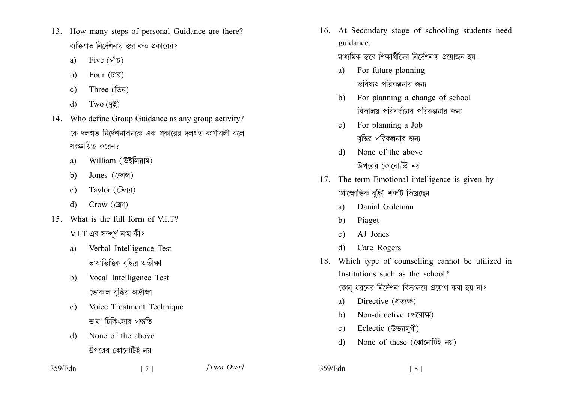- 13. How many steps of personal Guidance are there? বাক্তিগত নির্দেশনায় স্তর কত প্রকারের?
	- $Five (M5)$ a)
	- Four  $(\overline{d} \overline{d})$ b)
	- Three  $(\widehat{\mathbb{G}})$  $c)$
	- $Two($ দই)  $\mathbf{d}$
- 14. Who define Group Guidance as any group activity? কে দলগত নির্দেশনাদানকে এক প্রকারের দলগত কার্যাবলী বলে সংজ্ঞায়িত করেন?
	- William (উইলিয়াম) a)
	- Jones (জোন্স)  $h$ )
	- Taylor (টেলর)  $c)$
	- $Crow(Gri)$  $\mathbf{d}$
- 15 What is the full form of VIT?  $V.I.T$  এর সম্পূর্ণ নাম কী?
	- Verbal Intelligence Test a) ভাষাভিত্তিক বদ্ধির অভীক্ষা
	- Vocal Intelligence Test  $b)$ ভোকাল বদ্ধির অভীক্ষা
	- Voice Treatment Technique  $c)$ ভাষা চিকিৎসার পদ্ধতি
	- None of the above  $\mathbf{d}$ উপরের কোনোটিই নয়
- 359/Edn

16. At Secondary stage of schooling students need guidance.

মাধ্যমিক স্তরে শিক্ষার্থীদের নির্দেশনায় প্রয়োজন হয়।

- For future planning a) ভবিষাৎ পরিকল্পনার জন্য
- For planning a change of school  $b)$ বিদ্যালয় পরিবর্তনের পরিকল্পনার জন্য
- For planning a Job  $c)$ বৃত্তির পরিকল্পনার জন্য
- None of the above d) উপরের কোনোটিই নয়
- 17. The term Emotional intelligence is given by-'প্ৰাক্ষোভিক বদ্ধি' শব্দটি দিয়েছেন
	- Danial Goleman a)
	- $b)$ Piaget
	- A.I Jones  $c)$
	- Care Rogers d)
- 18. Which type of counselling cannot be utilized in Institutions such as the school? কোন ধরনের নির্দেশনা বিদ্যালয়ে প্রয়োগ করা হয় না?
	- Directive (থতাক্ষ) a)
	- Non-directive (পরোক্ষ)  $h$
	- Eclectic (উভয়মূখী)  $c)$
	- None of these (কোনোটিই নয়)  $\mathbf{d}$
- 359/Edn  $\lceil 8 \rceil$